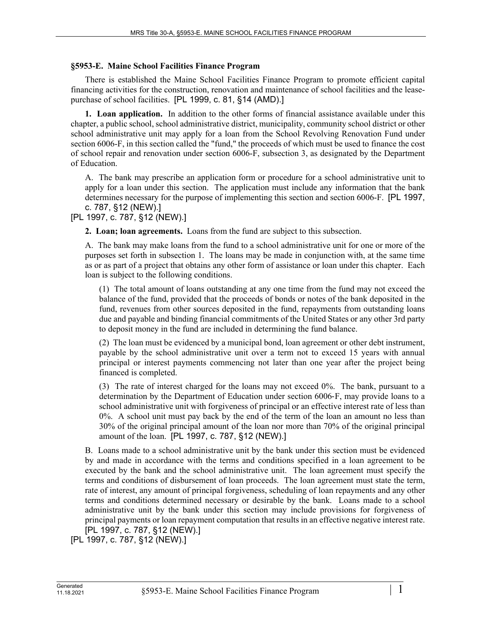## **§5953-E. Maine School Facilities Finance Program**

There is established the Maine School Facilities Finance Program to promote efficient capital financing activities for the construction, renovation and maintenance of school facilities and the leasepurchase of school facilities. [PL 1999, c. 81, §14 (AMD).]

**1. Loan application.** In addition to the other forms of financial assistance available under this chapter, a public school, school administrative district, municipality, community school district or other school administrative unit may apply for a loan from the School Revolving Renovation Fund under section 6006-F, in this section called the "fund," the proceeds of which must be used to finance the cost of school repair and renovation under section 6006-F, subsection 3, as designated by the Department of Education.

A. The bank may prescribe an application form or procedure for a school administrative unit to apply for a loan under this section. The application must include any information that the bank determines necessary for the purpose of implementing this section and section 6006-F. [PL 1997, c. 787, §12 (NEW).]

## [PL 1997, c. 787, §12 (NEW).]

**2. Loan; loan agreements.** Loans from the fund are subject to this subsection.

A. The bank may make loans from the fund to a school administrative unit for one or more of the purposes set forth in subsection 1. The loans may be made in conjunction with, at the same time as or as part of a project that obtains any other form of assistance or loan under this chapter. Each loan is subject to the following conditions.

(1) The total amount of loans outstanding at any one time from the fund may not exceed the balance of the fund, provided that the proceeds of bonds or notes of the bank deposited in the fund, revenues from other sources deposited in the fund, repayments from outstanding loans due and payable and binding financial commitments of the United States or any other 3rd party to deposit money in the fund are included in determining the fund balance.

(2) The loan must be evidenced by a municipal bond, loan agreement or other debt instrument, payable by the school administrative unit over a term not to exceed 15 years with annual principal or interest payments commencing not later than one year after the project being financed is completed.

(3) The rate of interest charged for the loans may not exceed 0%. The bank, pursuant to a determination by the Department of Education under section 6006‑F, may provide loans to a school administrative unit with forgiveness of principal or an effective interest rate of less than 0%. A school unit must pay back by the end of the term of the loan an amount no less than 30% of the original principal amount of the loan nor more than 70% of the original principal amount of the loan. [PL 1997, c. 787, §12 (NEW).]

B. Loans made to a school administrative unit by the bank under this section must be evidenced by and made in accordance with the terms and conditions specified in a loan agreement to be executed by the bank and the school administrative unit. The loan agreement must specify the terms and conditions of disbursement of loan proceeds. The loan agreement must state the term, rate of interest, any amount of principal forgiveness, scheduling of loan repayments and any other terms and conditions determined necessary or desirable by the bank. Loans made to a school administrative unit by the bank under this section may include provisions for forgiveness of principal payments or loan repayment computation that results in an effective negative interest rate. [PL 1997, c. 787, §12 (NEW).]

```
[PL 1997, c. 787, §12 (NEW).]
```